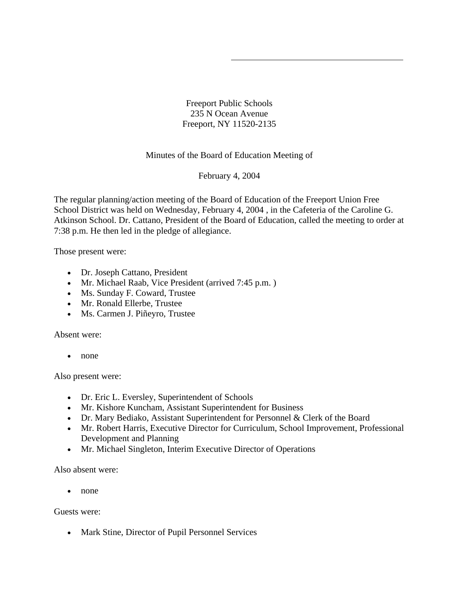Freeport Public Schools 235 N Ocean Avenue Freeport, NY 11520-2135

Minutes of the Board of Education Meeting of

February 4, 2004

The regular planning/action meeting of the Board of Education of the Freeport Union Free School District was held on Wednesday, February 4, 2004 , in the Cafeteria of the Caroline G. Atkinson School. Dr. Cattano, President of the Board of Education, called the meeting to order at 7:38 p.m. He then led in the pledge of allegiance.

Those present were:

- Dr. Joseph Cattano, President
- Mr. Michael Raab, Vice President (arrived 7:45 p.m.)
- Ms. Sunday F. Coward, Trustee
- Mr. Ronald Ellerbe, Trustee
- Ms. Carmen J. Piñeyro, Trustee

Absent were:

• none

Also present were:

- Dr. Eric L. Eversley, Superintendent of Schools
- Mr. Kishore Kuncham, Assistant Superintendent for Business
- Dr. Mary Bediako, Assistant Superintendent for Personnel & Clerk of the Board
- Mr. Robert Harris, Executive Director for Curriculum, School Improvement, Professional Development and Planning
- Mr. Michael Singleton, Interim Executive Director of Operations

Also absent were:

• none

Guests were:

• Mark Stine, Director of Pupil Personnel Services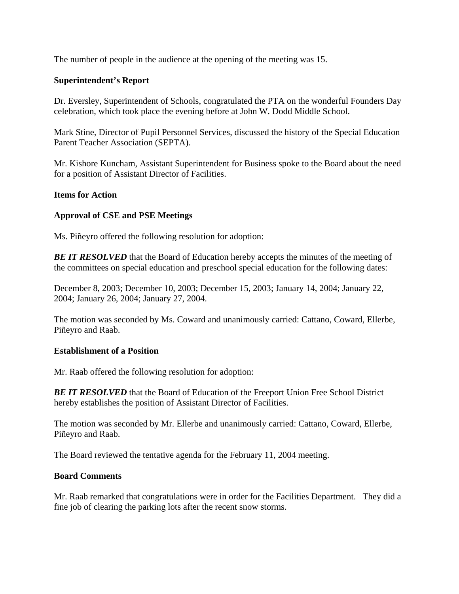The number of people in the audience at the opening of the meeting was 15.

# **Superintendent's Report**

Dr. Eversley, Superintendent of Schools, congratulated the PTA on the wonderful Founders Day celebration, which took place the evening before at John W. Dodd Middle School.

Mark Stine, Director of Pupil Personnel Services, discussed the history of the Special Education Parent Teacher Association (SEPTA).

Mr. Kishore Kuncham, Assistant Superintendent for Business spoke to the Board about the need for a position of Assistant Director of Facilities.

### **Items for Action**

# **Approval of CSE and PSE Meetings**

Ms. Piñeyro offered the following resolution for adoption:

**BE IT RESOLVED** that the Board of Education hereby accepts the minutes of the meeting of the committees on special education and preschool special education for the following dates:

December 8, 2003; December 10, 2003; December 15, 2003; January 14, 2004; January 22, 2004; January 26, 2004; January 27, 2004.

The motion was seconded by Ms. Coward and unanimously carried: Cattano, Coward, Ellerbe, Piñeyro and Raab.

### **Establishment of a Position**

Mr. Raab offered the following resolution for adoption:

**BE IT RESOLVED** that the Board of Education of the Freeport Union Free School District hereby establishes the position of Assistant Director of Facilities.

The motion was seconded by Mr. Ellerbe and unanimously carried: Cattano, Coward, Ellerbe, Piñeyro and Raab.

The Board reviewed the tentative agenda for the February 11, 2004 meeting.

### **Board Comments**

Mr. Raab remarked that congratulations were in order for the Facilities Department. They did a fine job of clearing the parking lots after the recent snow storms.